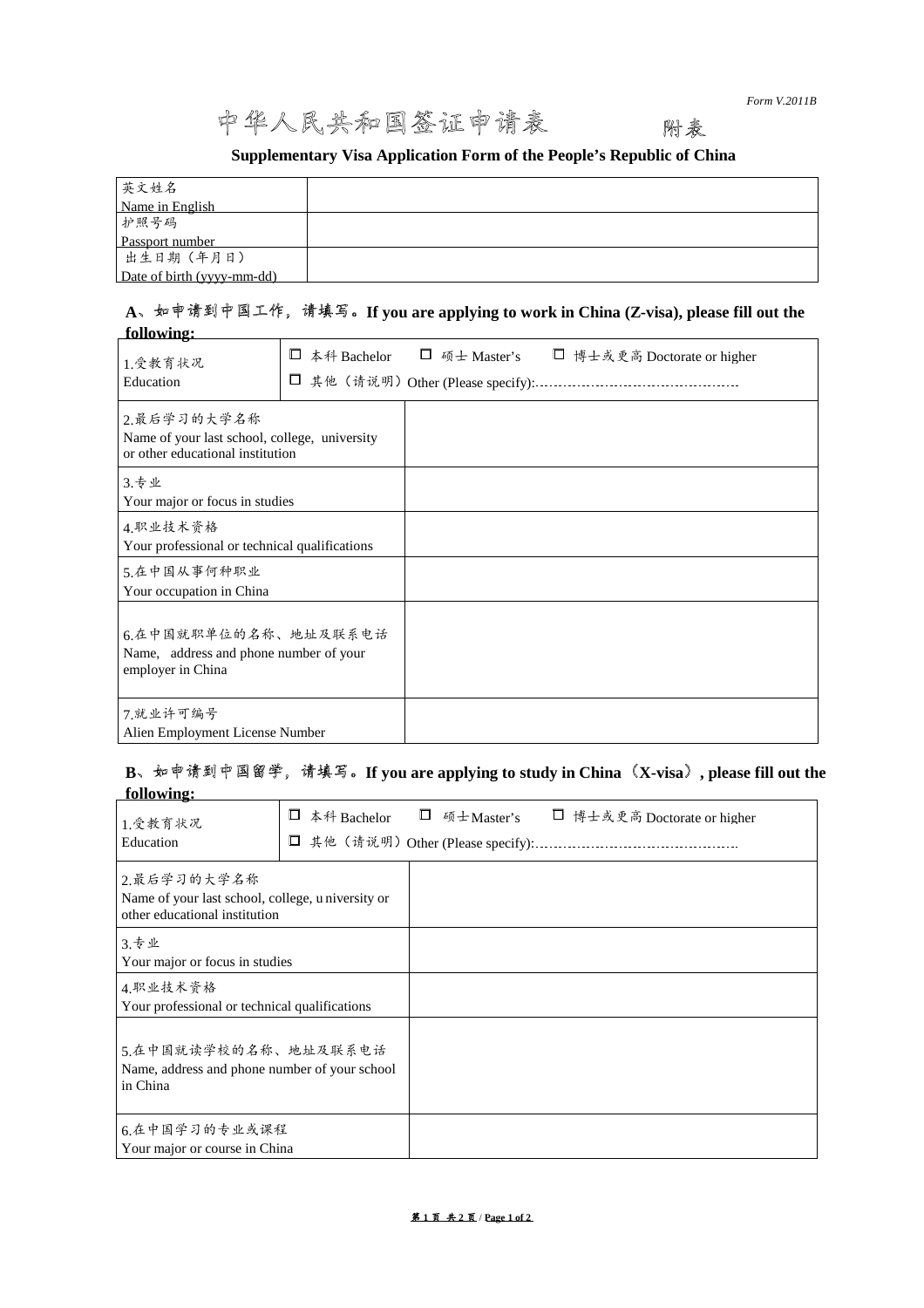# 中华人民共和国签证申请表 附表

**Supplementary Visa Application Form of the People's Republic of China** 

| 英文姓名                       |  |
|----------------------------|--|
| Name in English            |  |
| 护照号码                       |  |
| Passport number            |  |
| 出生日期(年月日)                  |  |
| Date of birth (yyyy-mm-dd) |  |

#### **A**、如申请到中国工作,请填写。**If you are applying to work in China (Z-visa), please fill out the following:**

| <u> 10110WHIP:</u>                                                                               |                            |               |                             |
|--------------------------------------------------------------------------------------------------|----------------------------|---------------|-----------------------------|
| 1.受教育状况<br>Education                                                                             | 本科 Bachelor<br>□<br>$\Box$ | □ 硕士 Master's | □ 博士或更高 Doctorate or higher |
| 2.最后学习的大学名称<br>Name of your last school, college, university<br>or other educational institution |                            |               |                             |
| 3.专业<br>Your major or focus in studies                                                           |                            |               |                             |
| 4. 职业技术资格<br>Your professional or technical qualifications                                       |                            |               |                             |
| 5.在中国从事何种职业<br>Your occupation in China                                                          |                            |               |                             |
| 6.在中国就职单位的名称、地址及联系电话<br>Name, address and phone number of your<br>employer in China              |                            |               |                             |
| 7.就业许可编号<br>Alien Employment License Number                                                      |                            |               |                             |

### **B**、如申请到中国留学,请填写。**If you are applying to study in China**(**X-visa**)**, please fill out the following:**

| 1.受教育状况<br>Education                                                                               | 本科 Bachelor<br>$\Box$ | $\Box$<br>□ 其他 (请说明) Other (Please specify): | 硕士Master's □ 博士或更高 Doctorate or higher |
|----------------------------------------------------------------------------------------------------|-----------------------|----------------------------------------------|----------------------------------------|
| 2. 最后学习的大学名称<br>Name of your last school, college, u niversity or<br>other educational institution |                       |                                              |                                        |
| $3.$ 专业<br>Your major or focus in studies                                                          |                       |                                              |                                        |
| 4. 职业技术资格<br>Your professional or technical qualifications                                         |                       |                                              |                                        |
| 5.在中国就读学校的名称、地址及联系电话<br>Name, address and phone number of your school<br>in China                  |                       |                                              |                                        |
| 6.在中国学习的专业或课程<br>Your major or course in China                                                     |                       |                                              |                                        |